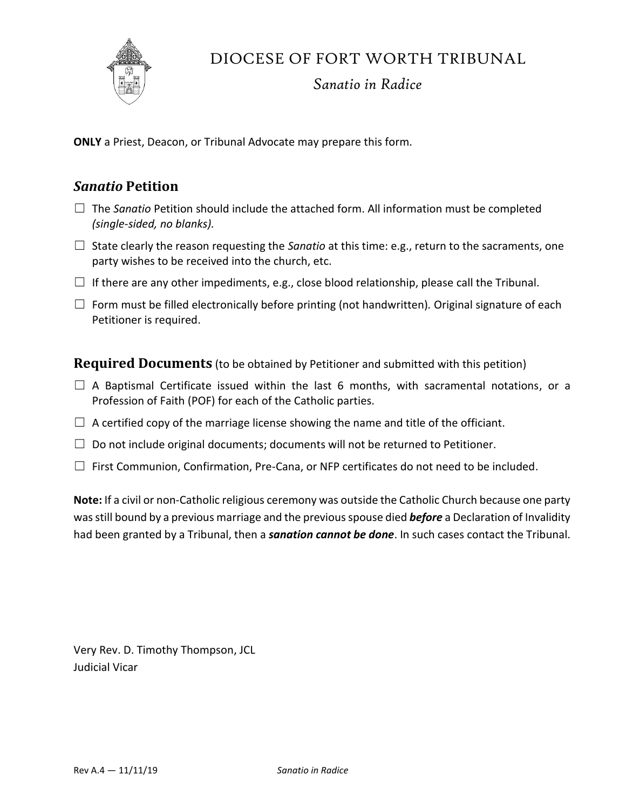

DIOCESE OF FORT WORTH TRIBUNAL

### *Sanatio in Radice*

**ONLY** a Priest, Deacon, or Tribunal Advocate may prepare this form.

#### *Sanatio* **Petition**

- ☐ The *Sanatio* Petition should include the attached form. All information must be completed *(single-sided, no blanks).*
- ☐ State clearly the reason requesting the *Sanatio* at this time: e.g., return to the sacraments, one party wishes to be received into the church, etc.
- $\Box$  If there are any other impediments, e.g., close blood relationship, please call the Tribunal.
- ☐ Form must be filled electronically before printing (not handwritten)*.* Original signature of each Petitioner is required.

**Required Documents** (to be obtained by Petitioner and submitted with this petition)

- $\Box$  A Baptismal Certificate issued within the last 6 months, with sacramental notations, or a Profession of Faith (POF) for each of the Catholic parties.
- $\Box$  A certified copy of the marriage license showing the name and title of the officiant.
- $\Box$  Do not include original documents; documents will not be returned to Petitioner.
- $\Box$  First Communion, Confirmation, Pre-Cana, or NFP certificates do not need to be included.

**Note:** If a civil or non-Catholic religious ceremony was outside the Catholic Church because one party was still bound by a previous marriage and the previous spouse died *before* a Declaration of Invalidity had been granted by a Tribunal, then a *sanation cannot be done*. In such cases contact the Tribunal.

Very Rev. D. Timothy Thompson, JCL Judicial Vicar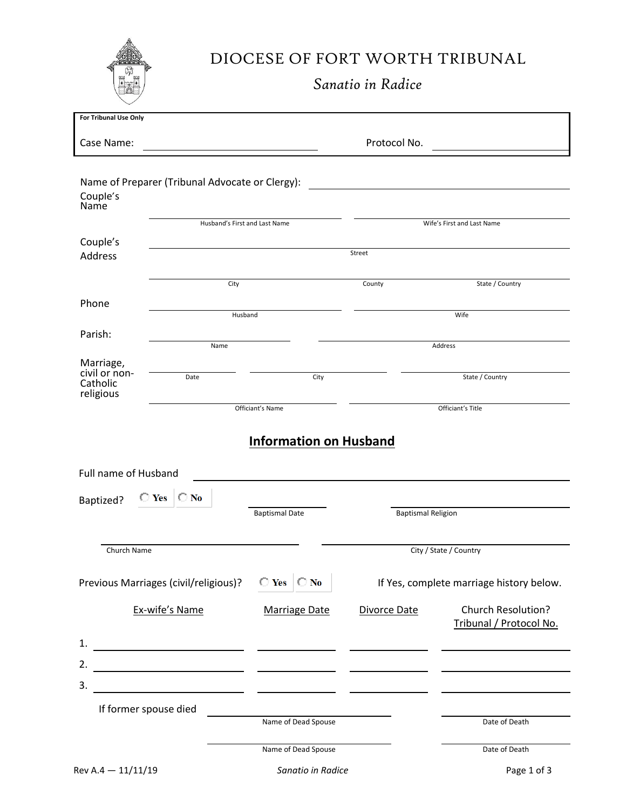

# DIOCESE OF FORT WORTH TRIBUNAL

*Sanatio in Radice*

| For Tribunal Use Only                  |                                                                                  |                               |                           |                                                      |  |  |
|----------------------------------------|----------------------------------------------------------------------------------|-------------------------------|---------------------------|------------------------------------------------------|--|--|
| Case Name:                             |                                                                                  |                               | Protocol No.              |                                                      |  |  |
| Couple's<br>Name                       | Name of Preparer (Tribunal Advocate or Clergy):<br>Husband's First and Last Name |                               |                           | Wife's First and Last Name                           |  |  |
|                                        |                                                                                  |                               |                           |                                                      |  |  |
| Couple's<br><b>Address</b>             |                                                                                  |                               | Street                    |                                                      |  |  |
|                                        | City                                                                             |                               | County                    | State / Country                                      |  |  |
| Phone                                  | Husband                                                                          |                               | Wife                      |                                                      |  |  |
|                                        |                                                                                  |                               |                           |                                                      |  |  |
| Parish:                                | Name                                                                             |                               |                           | Address                                              |  |  |
| Marriage,<br>civil or non-<br>Catholic | Date                                                                             | City                          |                           | State / Country                                      |  |  |
| religious                              |                                                                                  |                               |                           |                                                      |  |  |
|                                        |                                                                                  | Officiant's Name              |                           | Officiant's Title                                    |  |  |
|                                        |                                                                                  | <b>Information on Husband</b> |                           |                                                      |  |  |
| Full name of Husband                   |                                                                                  |                               |                           |                                                      |  |  |
| Baptized?                              | $\bigcirc$ Yes $\bigcirc$ No                                                     | <b>Baptismal Date</b>         |                           |                                                      |  |  |
|                                        |                                                                                  |                               | <b>Baptismal Religion</b> |                                                      |  |  |
| Church Name                            |                                                                                  |                               |                           | City / State / Country                               |  |  |
|                                        | Previous Marriages (civil/religious)?                                            | $\bigcirc$ Yes $\bigcirc$ No  |                           | If Yes, complete marriage history below.             |  |  |
| Ex-wife's Name                         |                                                                                  | Marriage Date                 | Divorce Date              | <b>Church Resolution?</b><br>Tribunal / Protocol No. |  |  |
| 1.                                     |                                                                                  |                               |                           |                                                      |  |  |
| 2.                                     |                                                                                  |                               |                           |                                                      |  |  |
| 3.                                     |                                                                                  |                               |                           |                                                      |  |  |
| If former spouse died                  |                                                                                  |                               |                           |                                                      |  |  |
|                                        |                                                                                  | Name of Dead Spouse           |                           | Date of Death                                        |  |  |
|                                        |                                                                                  | Name of Dead Spouse           |                           | Date of Death                                        |  |  |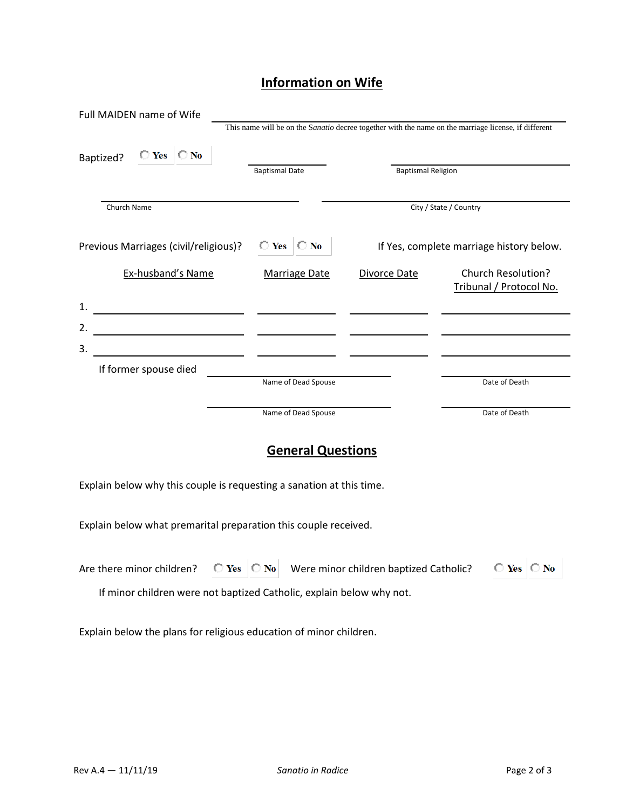## **Information on Wife**

| Full MAIDEN name of Wife                                                                                                   |                              |                           |                                                                                                      |  |
|----------------------------------------------------------------------------------------------------------------------------|------------------------------|---------------------------|------------------------------------------------------------------------------------------------------|--|
|                                                                                                                            |                              |                           | This name will be on the Sanatio decree together with the name on the marriage license, if different |  |
| $\bigcirc$ Yes $\bigcirc$ No<br>Baptized?                                                                                  |                              |                           |                                                                                                      |  |
|                                                                                                                            | <b>Baptismal Date</b>        | <b>Baptismal Religion</b> |                                                                                                      |  |
| Church Name                                                                                                                |                              |                           | City / State / Country                                                                               |  |
|                                                                                                                            |                              |                           |                                                                                                      |  |
| Previous Marriages (civil/religious)?                                                                                      | $\bigcirc$ Yes $\bigcirc$ No |                           | If Yes, complete marriage history below.                                                             |  |
| Ex-husband's Name                                                                                                          | <b>Marriage Date</b>         | Divorce Date              | <b>Church Resolution?</b><br>Tribunal / Protocol No.                                                 |  |
| 1.<br><u> 1990 - Johann Barbara, politik eta politik eta politik eta politik eta politik eta politik eta politik eta p</u> |                              |                           |                                                                                                      |  |
| 2.                                                                                                                         |                              |                           |                                                                                                      |  |
| 3.<br><u> 1989 - Johann John Stone, mars eta industrial eta industrial eta industrial eta industrial eta industrial e</u>  |                              |                           |                                                                                                      |  |
| If former spouse died                                                                                                      |                              |                           |                                                                                                      |  |
|                                                                                                                            | Name of Dead Spouse          |                           | Date of Death                                                                                        |  |
|                                                                                                                            | Name of Dead Spouse          |                           | Date of Death                                                                                        |  |
|                                                                                                                            |                              |                           |                                                                                                      |  |
|                                                                                                                            | <b>General Questions</b>     |                           |                                                                                                      |  |
|                                                                                                                            |                              |                           |                                                                                                      |  |

Explain below why this couple is requesting a sanation at this time.

Explain below what premarital preparation this couple received.

|  |  |  | Are there minor children? $\bigcirc$ Yes $\bigcirc$ No Were minor children baptized Catholic? $\bigcirc$ Yes $\bigcirc$ No |  |  |
|--|--|--|----------------------------------------------------------------------------------------------------------------------------|--|--|
|--|--|--|----------------------------------------------------------------------------------------------------------------------------|--|--|

If minor children were not baptized Catholic, explain below why not.

Explain below the plans for religious education of minor children.